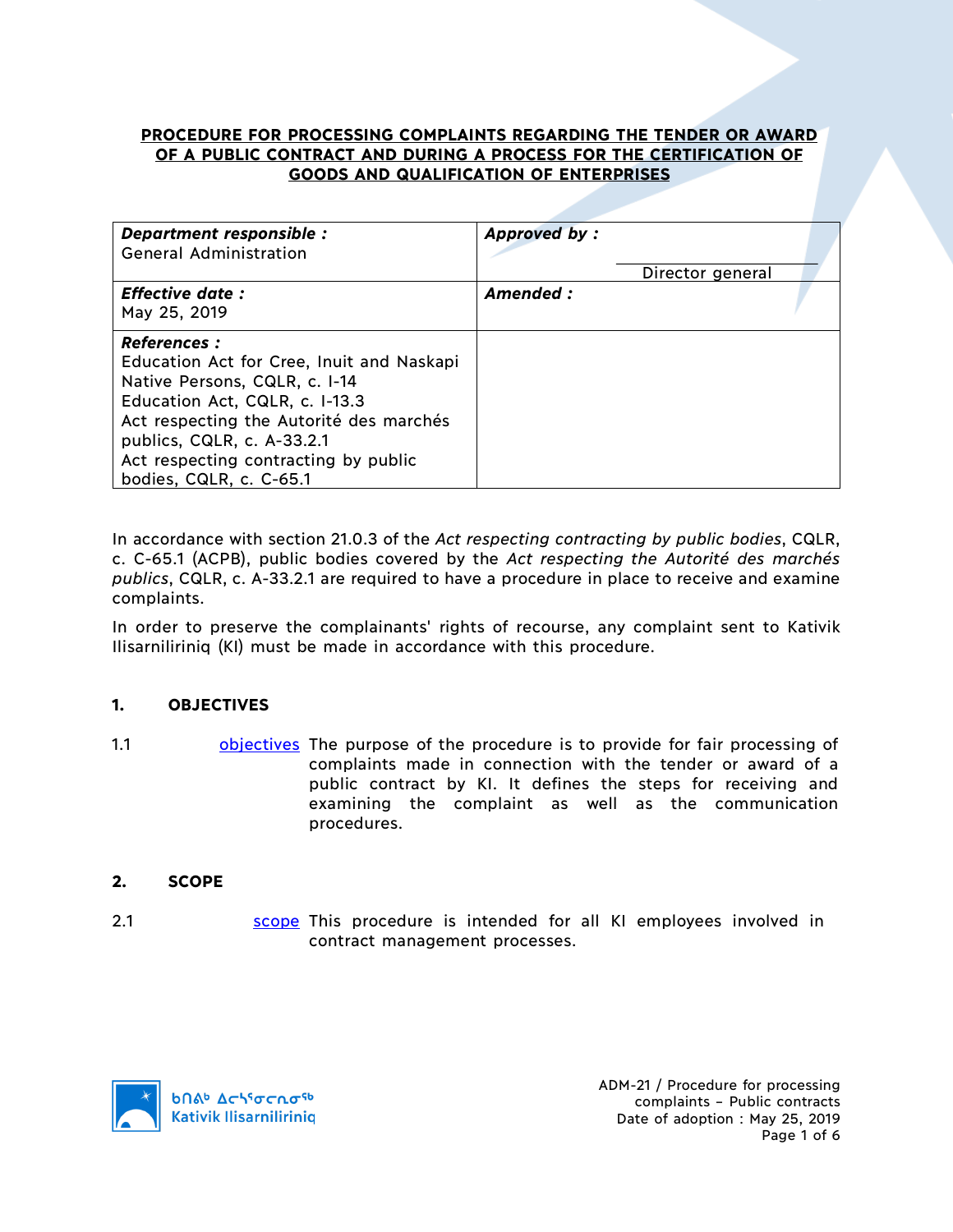# **PROCEDURE FOR PROCESSING COMPLAINTS REGARDING THE TENDER OR AWARD OF A PUBLIC CONTRACT AND DURING A PROCESS FOR THE CERTIFICATION OF GOODS AND QUALIFICATION OF ENTERPRISES**

| Department responsible :<br><b>General Administration</b>                                                                                                                                                                                                                       | <b>Approved by:</b> | Director general |  |
|---------------------------------------------------------------------------------------------------------------------------------------------------------------------------------------------------------------------------------------------------------------------------------|---------------------|------------------|--|
| <b>Effective date:</b><br>May 25, 2019                                                                                                                                                                                                                                          | Amended:            |                  |  |
| <b>References :</b><br>Education Act for Cree, Inuit and Naskapi<br>Native Persons, CQLR, c. I-14<br>Education Act, CQLR, c. I-13.3<br>Act respecting the Autorité des marchés<br>publics, CQLR, c. A-33.2.1<br>Act respecting contracting by public<br>bodies, CQLR, c. C-65.1 |                     |                  |  |

In accordance with section 21.0.3 of the *Act respecting contracting by public bodies*, CQLR, c. C-65.1 (ACPB), public bodies covered by the *Act respecting the Autorité des marchés publics*, CQLR, c. A-33.2.1 are required to have a procedure in place to receive and examine complaints.

In order to preserve the complainants' rights of recourse, any complaint sent to Kativik Ilisarniliriniq (KI) must be made in accordance with this procedure.

# **1. OBJECTIVES**

1.1 **bullet objectives** The purpose of the procedure is to provide for fair processing of complaints made in connection with the tender or award of a public contract by KI. It defines the steps for receiving and examining the complaint as well as the communication procedures.

# **2. SCOPE**

2.1 Scope This procedure is intended for all KI employees involved in contract management processes.

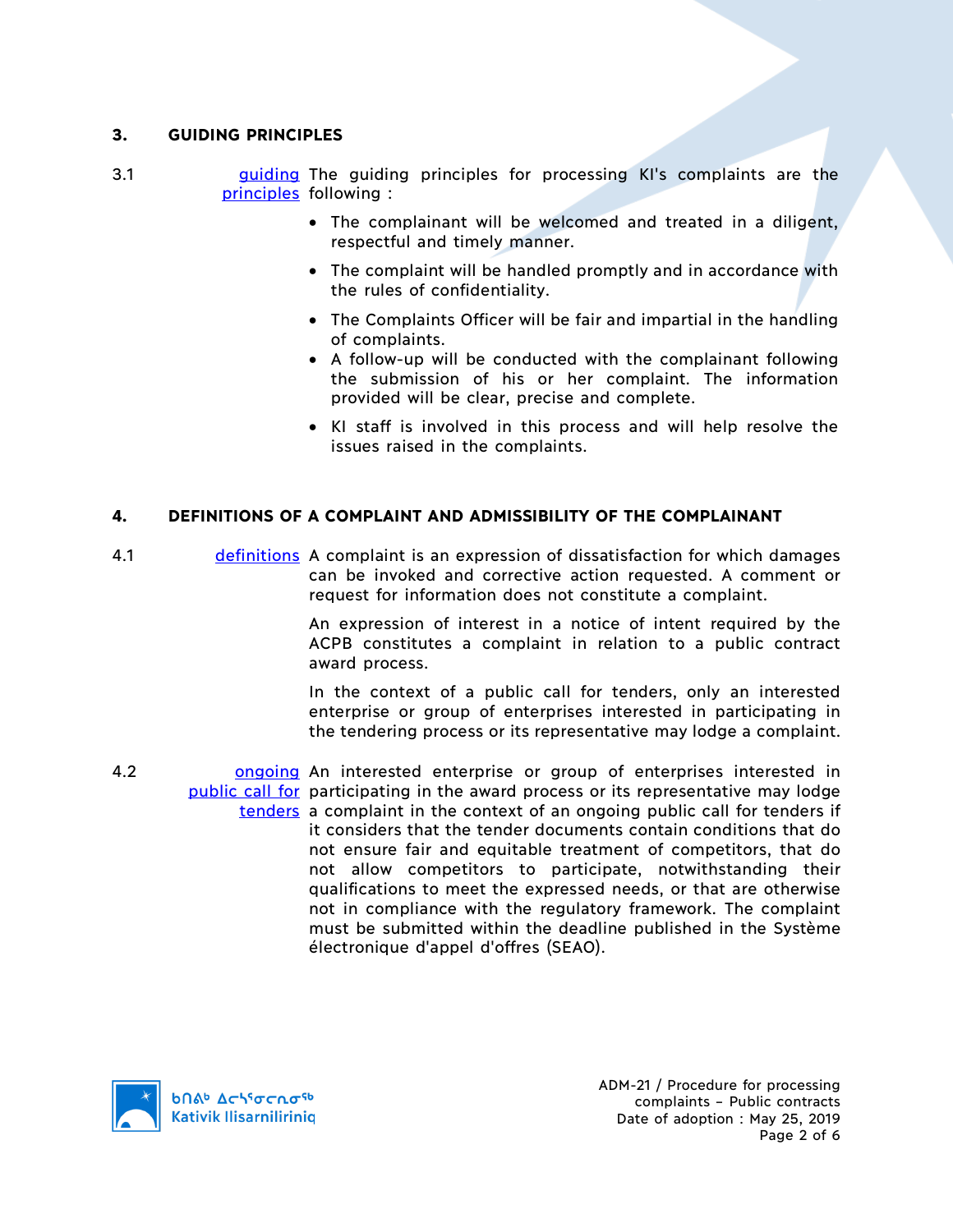### **3. GUIDING PRINCIPLES**

- 3.1 **guiding The guiding principles for processing KI's complaints are the** principles following :
	- The complainant will be welcomed and treated in a diligent, respectful and timely manner.
	- The complaint will be handled promptly and in accordance with the rules of confidentiality.
	- The Complaints Officer will be fair and impartial in the handling of complaints.
	- A follow-up will be conducted with the complainant following the submission of his or her complaint. The information provided will be clear, precise and complete.
	- KI staff is involved in this process and will help resolve the issues raised in the complaints.

# **4. DEFINITIONS OF A COMPLAINT AND ADMISSIBILITY OF THE COMPLAINANT**

4.1 definitions A complaint is an expression of dissatisfaction for which damages can be invoked and corrective action requested. A comment or request for information does not constitute a complaint.

> An expression of interest in a notice of intent required by the ACPB constitutes a complaint in relation to a public contract award process.

> In the context of a public call for tenders, only an interested enterprise or group of enterprises interested in participating in the tendering process or its representative may lodge a complaint.

4.2 **ongoing An interested enterprise or group of enterprises interested in** public call for participating in the award process or its representative may lodge tenders a complaint in the context of an ongoing public call for tenders if it considers that the tender documents contain conditions that do not ensure fair and equitable treatment of competitors, that do not allow competitors to participate, notwithstanding their qualifications to meet the expressed needs, or that are otherwise not in compliance with the regulatory framework. The complaint must be submitted within the deadline published in the Système électronique d'appel d'offres (SEAO).



ADM-21 / Procedure for processing complaints – Public contracts Date of adoption : May 25, 2019 Page 2 of 6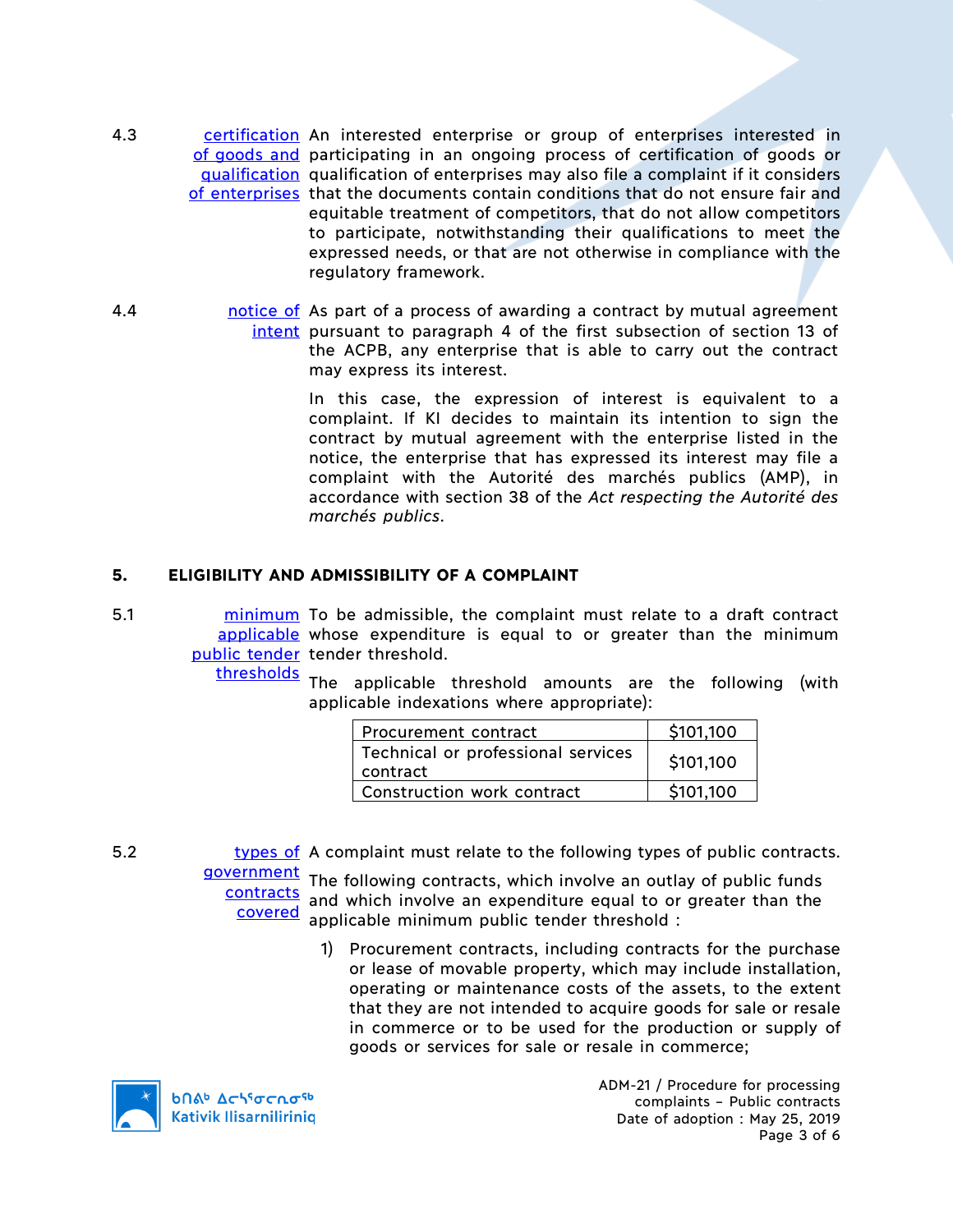- 4.3 certification An interested enterprise or group of enterprises interested in of goods and participating in an ongoing process of certification of goods or qualification qualification of enterprises may also file a complaint if it considers of enterprises that the documents contain conditions that do not ensure fair and equitable treatment of competitors, that do not allow competitors to participate, notwithstanding their qualifications to meet the expressed needs, or that are not otherwise in compliance with the regulatory framework.
- 4.4 **hotakele of a part of a process of awarding a contract by mutual agreement** intent pursuant to paragraph 4 of the first subsection of section 13 of the ACPB, any enterprise that is able to carry out the contract may express its interest.

In this case, the expression of interest is equivalent to a complaint. If KI decides to maintain its intention to sign the contract by mutual agreement with the enterprise listed in the notice, the enterprise that has expressed its interest may file a complaint with the Autorité des marchés publics (AMP), in accordance with section 38 of the *Act respecting the Autorité des marchés publics*.

### **5. ELIGIBILITY AND ADMISSIBILITY OF A COMPLAINT**

5.1 **minimum** To be admissible, the complaint must relate to a draft contract applicable whose expenditure is equal to or greater than the minimum public tender tender threshold.

> thresholds The applicable threshold amounts are the following (with applicable indexations where appropriate):

| Procurement contract                           | \$101.100 |
|------------------------------------------------|-----------|
| Technical or professional services<br>contract | \$101,100 |
| Construction work contract                     | \$101.100 |

5.2 types of A complaint must relate to the following types of public contracts. government<br>The following contracts, which involve an outlay of public funds

**contracts** covered and which involve an expenditure equal to or greater than the applicable minimum public tender threshold :

> 1) Procurement contracts, including contracts for the purchase or lease of movable property, which may include installation, operating or maintenance costs of the assets, to the extent that they are not intended to acquire goods for sale or resale in commerce or to be used for the production or supply of goods or services for sale or resale in commerce;



ADM-21 / Procedure for processing complaints – Public contracts Date of adoption : May 25, 2019 Page 3 of 6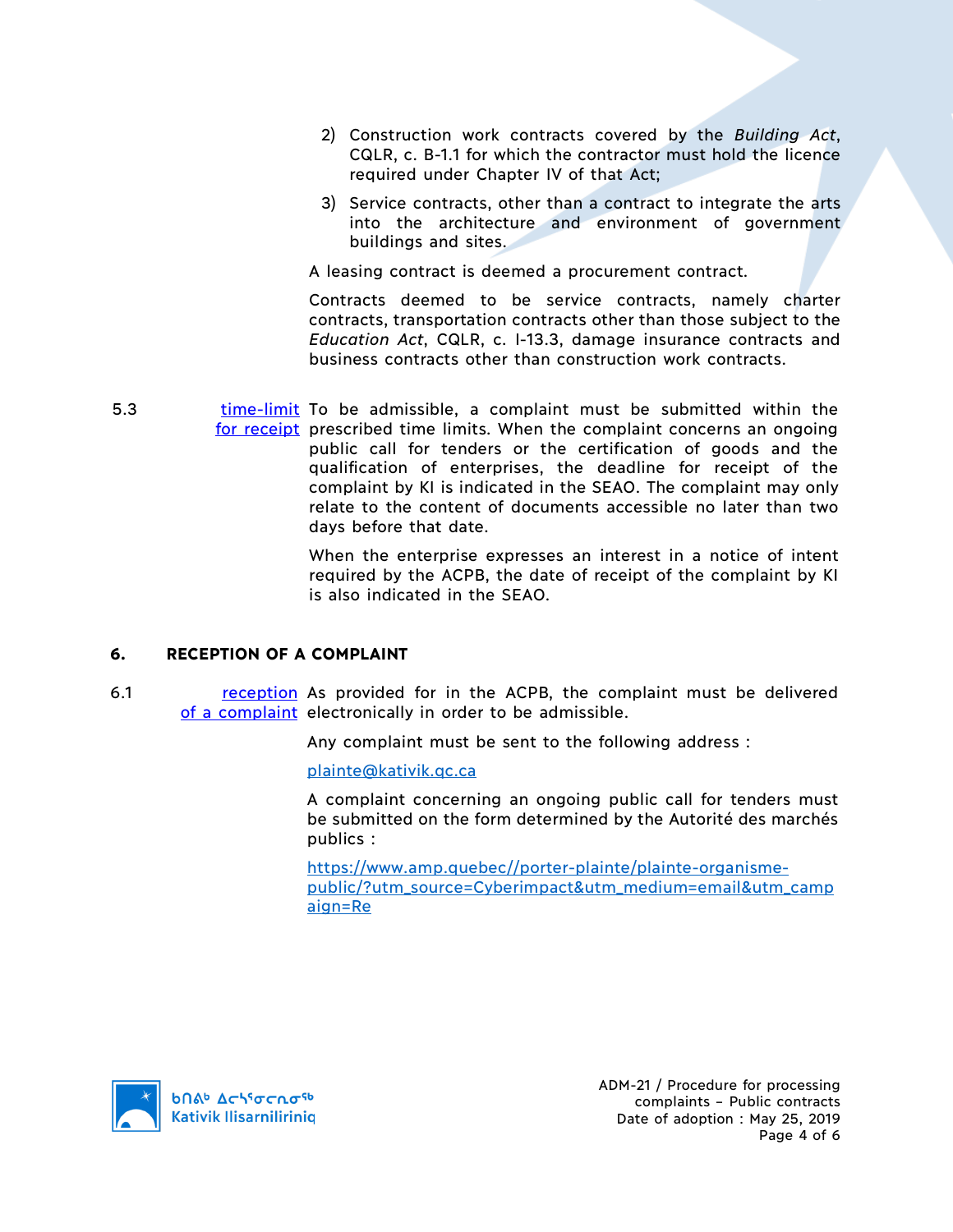- 2) Construction work contracts covered by the *Building Act*, CQLR, c. B-1.1 for which the contractor must hold the licence required under Chapter IV of that Act;
- 3) Service contracts, other than a contract to integrate the arts into the architecture and environment of government buildings and sites.

A leasing contract is deemed a procurement contract.

Contracts deemed to be service contracts, namely charter contracts, transportation contracts other than those subject to the *Education Act*, CQLR, c. I-13.3, damage insurance contracts and business contracts other than construction work contracts.

5.3 **time-limit** To be admissible, a complaint must be submitted within the for receipt prescribed time limits. When the complaint concerns an ongoing public call for tenders or the certification of goods and the qualification of enterprises, the deadline for receipt of the complaint by KI is indicated in the SEAO. The complaint may only relate to the content of documents accessible no later than two days before that date.

> When the enterprise expresses an interest in a notice of intent required by the ACPB, the date of receipt of the complaint by KI is also indicated in the SEAO.

#### **6. RECEPTION OF A COMPLAINT**

6.1 **reception** As provided for in the ACPB, the complaint must be delivered of a complaint electronically in order to be admissible.

Any complaint must be sent to the following address :

plainte@kativik.qc.ca

A complaint concerning an ongoing public call for tenders must be submitted on the form determined by the Autorité des marchés publics :

https://www.amp.quebec//porter-plainte/plainte-organismepublic/?utm\_source=Cyberimpact&utm\_medium=email&utm\_camp aign=Re

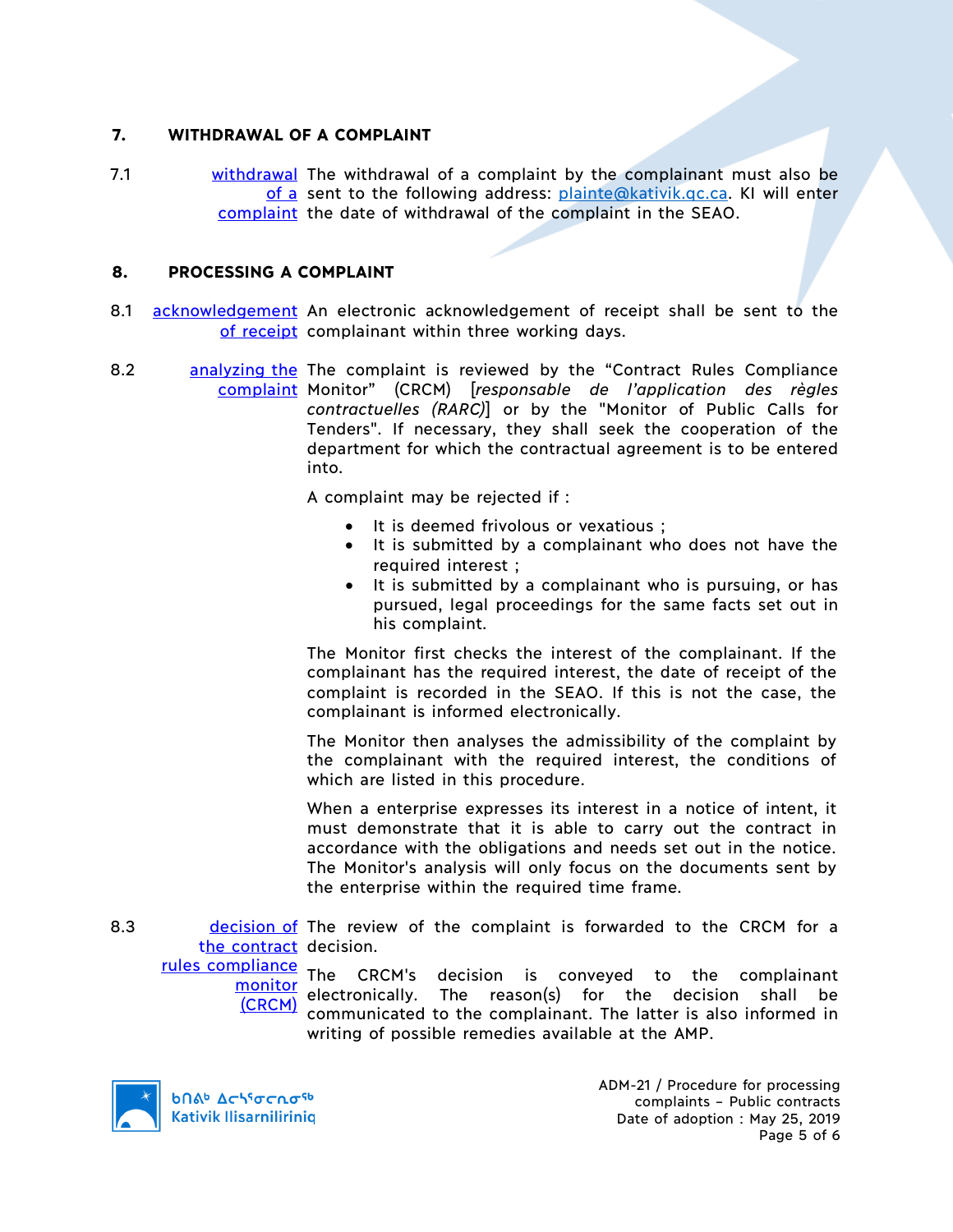#### **7. WITHDRAWAL OF A COMPLAINT**

7.1 withdrawal The withdrawal of a complaint by the complainant must also be of a sent to the following address: plainte@kativik.gc.ca. KI will enter complaint the date of withdrawal of the complaint in the SEAO.

### **8. PROCESSING A COMPLAINT**

- 8.1 acknowledgement An electronic acknowledgement of receipt shall be sent to the of receipt complainant within three working days.
- 8.2 analyzing the The complaint is reviewed by the "Contract Rules Compliance complaint Monitor" (CRCM) [*responsable de l'application des règles contractuelles (RARC)*] or by the "Monitor of Public Calls for Tenders". If necessary, they shall seek the cooperation of the department for which the contractual agreement is to be entered into.

A complaint may be rejected if :

- It is deemed frivolous or vexatious ;
- It is submitted by a complainant who does not have the required interest ;
- It is submitted by a complainant who is pursuing, or has pursued, legal proceedings for the same facts set out in his complaint.

The Monitor first checks the interest of the complainant. If the complainant has the required interest, the date of receipt of the complaint is recorded in the SEAO. If this is not the case, the complainant is informed electronically.

The Monitor then analyses the admissibility of the complaint by the complainant with the required interest, the conditions of which are listed in this procedure.

When a enterprise expresses its interest in a notice of intent, it must demonstrate that it is able to carry out the contract in accordance with the obligations and needs set out in the notice. The Monitor's analysis will only focus on the documents sent by the enterprise within the required time frame.

8.3 decision of The review of the complaint is forwarded to the CRCM for a the contract decision.

rules compliance (CRCM)

**The CRCM's** decision is conveyed to the complainant electronically. The reason(s) for the decision shall be communicated to the complainant. The latter is also informed in writing of possible remedies available at the AMP.



**b**በል<sup>b</sup> Δςιτσς το <sup>τρ</sup> **Kativik Ilisarniliriniq**